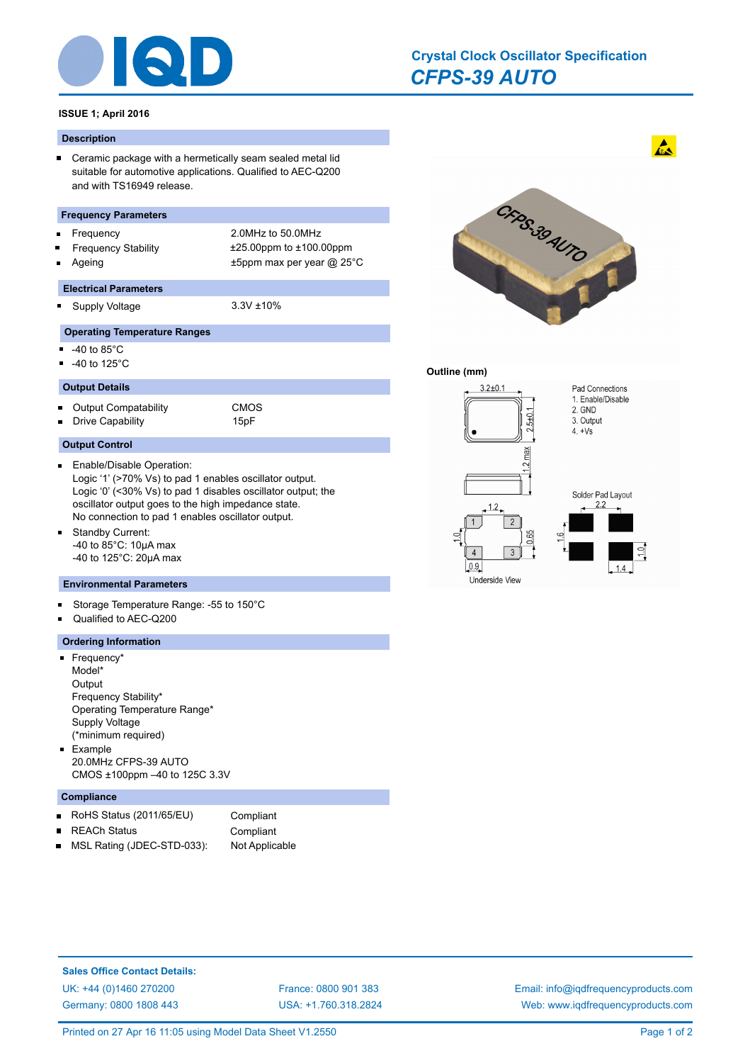

### **ISSUE 1; April 2016**

#### **Description**

Ceramic package with a hermetically seam sealed metal lid  $\blacksquare$ suitable for automotive applications. Qualified to AEC-Q200 and with TS16949 release.

#### **Frequency Parameters**

- Frequency 2.0MHz to 50.0MHz ř
- $\blacksquare$
- $\blacksquare$

 $\blacksquare$ 

Frequency Stability ±25.00ppm to ±100.00ppm Ageing the three terms of the top and the terms of the terms are the terms of the terms of the terms  $\pm$  5ppm max per year  $\varpi$  25°C

#### **Electrical Parameters**

Supply Voltage 3.3V ±10%

#### **Operating Temperature Ranges**

- $\blacksquare$ -40 to 85°C
- $-40$  to 125 $^{\circ}$ C

### **Output Details**

 $\blacksquare$ Output Compatability CMOS Drive Capability **15pF** 

### **Output Control**

- Enable/Disable Operation:  $\blacksquare$ Logic '1' (>70% Vs) to pad 1 enables oscillator output. Logic '0' (<30% Vs) to pad 1 disables oscillator output; the oscillator output goes to the high impedance state. No connection to pad 1 enables oscillator output.
- $\blacksquare$ Standby Current: -40 to 85°C: 10µA max -40 to 125°C: 20µA max

#### **Environmental Parameters**

- Storage Temperature Range: -55 to 150°C  $\blacksquare$
- Qualified to AEC-Q200 n

# **Ordering Information**

- **Frequency\*** Model\* **Output** Frequency Stability\* Operating Temperature Range\* Supply Voltage (\*minimum required) **Example**
- 20.0MHz CFPS-39 AUTO CMOS ±100ppm –40 to 125C 3.3V

## **Compliance**

- RoHS Status (2011/65/EU) Compliant  $\blacksquare$
- REACh Status **Compliant**  $\blacksquare$
- MSL Rating (JDEC-STD-033): Not Applicable  $\blacksquare$



## **Outline (mm)**



**Sales Office Contact Details:** [UK: +44 \(0\)1460 270200](http://www.iqdfrequencyproducts.co.uk) [France: 0800 901 383](http://www.iqdfrequencyproducts.fr) [Germany: 0800 1808 443](http://www.iqdfrequencyproducts.de)

[USA: +1.760.318.2824](http://www.iqdfrequencyproducts.com)

[Email: info@iqdfrequencyproducts.com](mailto:info@iqdfrequencyproducts.com) [Web: www.iqdfrequencyproducts.com](http://www.iqdfrequencyproducts.com)